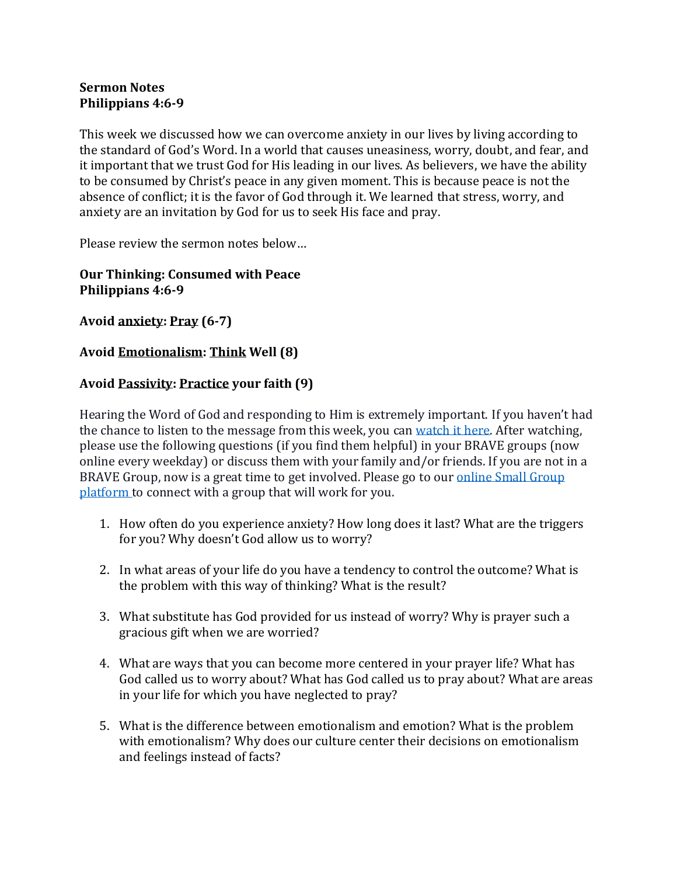## **Sermon Notes Philippians 4:6-9**

This week we discussed how we can overcome anxiety in our lives by living according to the standard of God's Word. In a world that causes uneasiness, worry, doubt, and fear, and it important that we trust God for His leading in our lives. As believers, we have the ability to be consumed by Christ's peace in any given moment. This is because peace is not the absence of conflict; it is the favor of God through it. We learned that stress, worry, and anxiety are an invitation by God for us to seek His face and pray.

Please review the sermon notes below…

## **Our Thinking: Consumed with Peace Philippians 4:6-9**

**Avoid anxiety: Pray (6-7)**

## **Avoid Emotionalism: Think Well (8)**

## **Avoid Passivity: Practice your faith (9)**

Hearing the Word of God and responding to Him is extremely important. If you haven't had the chance to listen to the message from this week, you can [watch it here.](https://bravechurch.co/sermons/) After watching, please use the following questions (if you find them helpful) in your BRAVE groups (now online every weekday) or discuss them with your family and/or friends. If you are not in a BRAVE Group, now is a great time to get involved. Please go to our [online Small Group](https://my.bravechurch.co/groupfinder)  [platform](https://my.bravechurch.co/groupfinder) to connect with a group that will work for you.

- 1. How often do you experience anxiety? How long does it last? What are the triggers for you? Why doesn't God allow us to worry?
- 2. In what areas of your life do you have a tendency to control the outcome? What is the problem with this way of thinking? What is the result?
- 3. What substitute has God provided for us instead of worry? Why is prayer such a gracious gift when we are worried?
- 4. What are ways that you can become more centered in your prayer life? What has God called us to worry about? What has God called us to pray about? What are areas in your life for which you have neglected to pray?
- 5. What is the difference between emotionalism and emotion? What is the problem with emotionalism? Why does our culture center their decisions on emotionalism and feelings instead of facts?